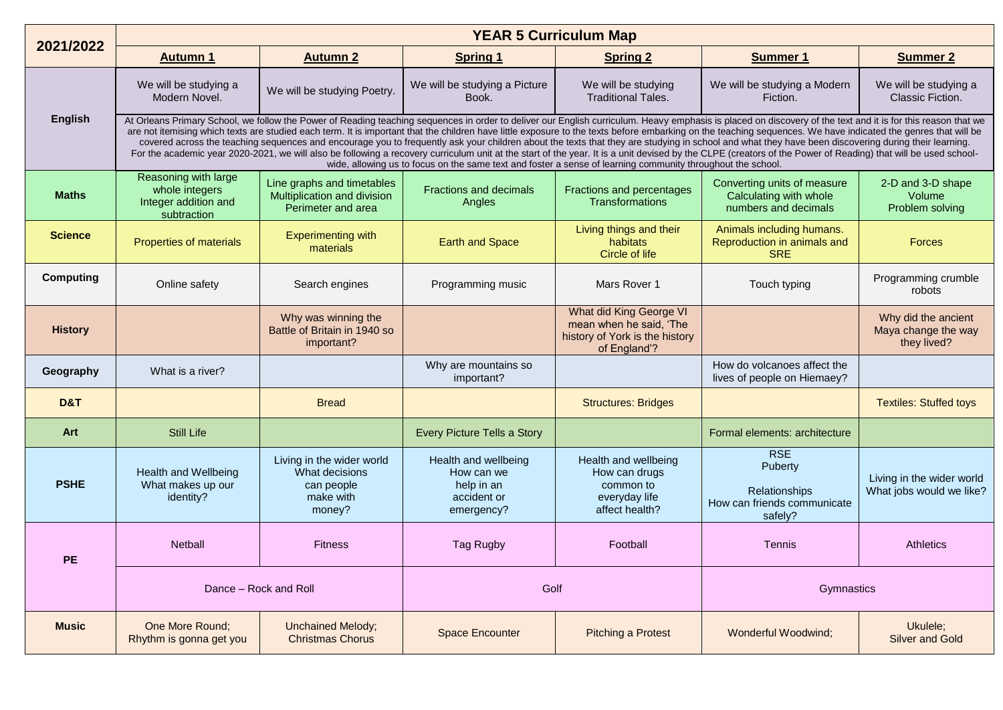| 2021/2022        | <b>YEAR 5 Curriculum Map</b>                                                                                                                                                                                                                                                                                                                                                                                                                                                                                                                                                                                                                                                                                                                                                                                                                                                                                                                                          |                                                                                  |                                                                               |                                                                                                      |                                                                                  |                                                           |  |  |  |
|------------------|-----------------------------------------------------------------------------------------------------------------------------------------------------------------------------------------------------------------------------------------------------------------------------------------------------------------------------------------------------------------------------------------------------------------------------------------------------------------------------------------------------------------------------------------------------------------------------------------------------------------------------------------------------------------------------------------------------------------------------------------------------------------------------------------------------------------------------------------------------------------------------------------------------------------------------------------------------------------------|----------------------------------------------------------------------------------|-------------------------------------------------------------------------------|------------------------------------------------------------------------------------------------------|----------------------------------------------------------------------------------|-----------------------------------------------------------|--|--|--|
|                  | <b>Autumn 1</b>                                                                                                                                                                                                                                                                                                                                                                                                                                                                                                                                                                                                                                                                                                                                                                                                                                                                                                                                                       | <b>Autumn 2</b>                                                                  | <b>Spring 1</b>                                                               | <b>Spring 2</b>                                                                                      | <b>Summer 1</b>                                                                  | <b>Summer 2</b>                                           |  |  |  |
|                  | We will be studying a<br>Modern Novel.                                                                                                                                                                                                                                                                                                                                                                                                                                                                                                                                                                                                                                                                                                                                                                                                                                                                                                                                | We will be studying Poetry.                                                      | We will be studying a Picture<br>Book.                                        | We will be studying<br><b>Traditional Tales.</b>                                                     | We will be studying a Modern<br>Fiction.                                         | We will be studying a<br>Classic Fiction.                 |  |  |  |
| <b>English</b>   | At Orleans Primary School, we follow the Power of Reading teaching sequences in order to deliver our English curriculum. Heavy emphasis is placed on discovery of the text and it is for this reason that we<br>are not itemising which texts are studied each term. It is important that the children have little exposure to the texts before embarking on the teaching sequences. We have indicated the genres that will be<br>covered across the teaching sequences and encourage you to frequently ask your children about the texts that they are studying in school and what they have been discovering during their learning.<br>For the academic year 2020-2021, we will also be following a recovery curriculum unit at the start of the year. It is a unit devised by the CLPE (creators of the Power of Reading) that will be used school-<br>wide, allowing us to focus on the same text and foster a sense of learning community throughout the school. |                                                                                  |                                                                               |                                                                                                      |                                                                                  |                                                           |  |  |  |
| <b>Maths</b>     | Reasoning with large<br>whole integers<br>Integer addition and<br>subtraction                                                                                                                                                                                                                                                                                                                                                                                                                                                                                                                                                                                                                                                                                                                                                                                                                                                                                         | Line graphs and timetables<br>Multiplication and division<br>Perimeter and area  | <b>Fractions and decimals</b><br>Angles                                       | Fractions and percentages<br><b>Transformations</b>                                                  | Converting units of measure<br>Calculating with whole<br>numbers and decimals    | 2-D and 3-D shape<br>Volume<br>Problem solving            |  |  |  |
| <b>Science</b>   | Properties of materials                                                                                                                                                                                                                                                                                                                                                                                                                                                                                                                                                                                                                                                                                                                                                                                                                                                                                                                                               | <b>Experimenting with</b><br>materials                                           | <b>Earth and Space</b>                                                        | Living things and their<br>habitats<br>Circle of life                                                | Animals including humans.<br>Reproduction in animals and<br><b>SRE</b>           | Forces                                                    |  |  |  |
| <b>Computing</b> | Online safety                                                                                                                                                                                                                                                                                                                                                                                                                                                                                                                                                                                                                                                                                                                                                                                                                                                                                                                                                         | Search engines                                                                   | Programming music                                                             | Mars Rover 1                                                                                         | Touch typing                                                                     | Programming crumble<br>robots                             |  |  |  |
| <b>History</b>   |                                                                                                                                                                                                                                                                                                                                                                                                                                                                                                                                                                                                                                                                                                                                                                                                                                                                                                                                                                       | Why was winning the<br>Battle of Britain in 1940 so<br>important?                |                                                                               | What did King George VI<br>mean when he said, 'The<br>history of York is the history<br>of England'? |                                                                                  | Why did the ancient<br>Maya change the way<br>they lived? |  |  |  |
| Geography        | What is a river?                                                                                                                                                                                                                                                                                                                                                                                                                                                                                                                                                                                                                                                                                                                                                                                                                                                                                                                                                      |                                                                                  | Why are mountains so<br>important?                                            |                                                                                                      | How do volcanoes affect the<br>lives of people on Hiemaey?                       |                                                           |  |  |  |
| D&T              |                                                                                                                                                                                                                                                                                                                                                                                                                                                                                                                                                                                                                                                                                                                                                                                                                                                                                                                                                                       | <b>Bread</b>                                                                     |                                                                               | <b>Structures: Bridges</b>                                                                           |                                                                                  | <b>Textiles: Stuffed toys</b>                             |  |  |  |
| Art              | Still Life                                                                                                                                                                                                                                                                                                                                                                                                                                                                                                                                                                                                                                                                                                                                                                                                                                                                                                                                                            |                                                                                  | Every Picture Tells a Story                                                   |                                                                                                      | Formal elements: architecture                                                    |                                                           |  |  |  |
| <b>PSHE</b>      | <b>Health and Wellbeing</b><br>What makes up our<br>identity?                                                                                                                                                                                                                                                                                                                                                                                                                                                                                                                                                                                                                                                                                                                                                                                                                                                                                                         | Living in the wider world<br>What decisions<br>can people<br>make with<br>money? | Health and wellbeing<br>How can we<br>help in an<br>accident or<br>emergency? | Health and wellbeing<br>How can drugs<br>common to<br>everyday life<br>affect health?                | <b>RSE</b><br>Puberty<br>Relationships<br>How can friends communicate<br>safely? | Living in the wider world<br>What jobs would we like?     |  |  |  |
| PE               | <b>Netball</b>                                                                                                                                                                                                                                                                                                                                                                                                                                                                                                                                                                                                                                                                                                                                                                                                                                                                                                                                                        | <b>Fitness</b>                                                                   | <b>Tag Rugby</b>                                                              | Football                                                                                             | <b>Tennis</b>                                                                    | <b>Athletics</b>                                          |  |  |  |
|                  | Dance - Rock and Roll                                                                                                                                                                                                                                                                                                                                                                                                                                                                                                                                                                                                                                                                                                                                                                                                                                                                                                                                                 |                                                                                  | Golf                                                                          |                                                                                                      | Gymnastics                                                                       |                                                           |  |  |  |
| <b>Music</b>     | One More Round;<br>Rhythm is gonna get you                                                                                                                                                                                                                                                                                                                                                                                                                                                                                                                                                                                                                                                                                                                                                                                                                                                                                                                            | <b>Unchained Melody;</b><br><b>Christmas Chorus</b>                              | <b>Space Encounter</b>                                                        | <b>Pitching a Protest</b>                                                                            | Wonderful Woodwind;                                                              | Ukulele;<br><b>Silver and Gold</b>                        |  |  |  |